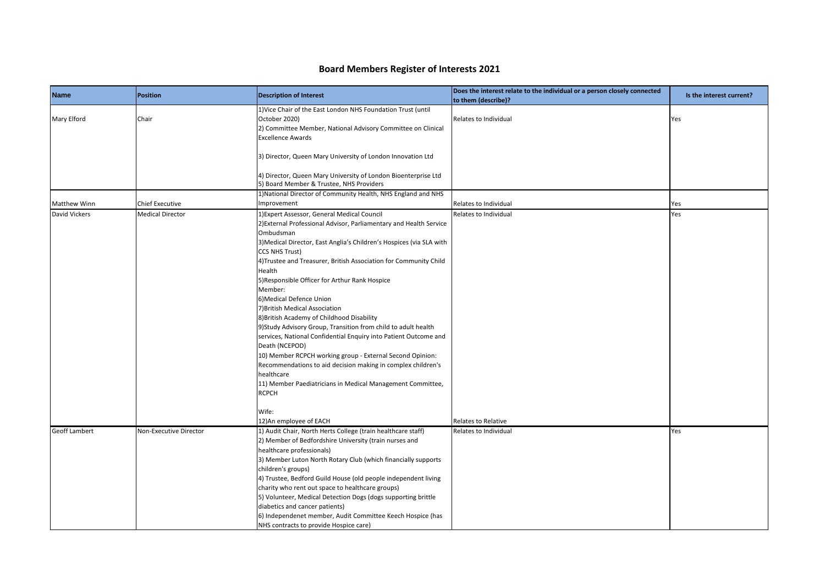## **Board Members Register of Interests 2021**

|                      |                         |                                                                                                                                                                                                                                                                                                                                                                                                                                                                                                                                                                                                                                                                                                                                                                                                                                                                       | Does the interest relate to the individual or a person closely connected |                          |
|----------------------|-------------------------|-----------------------------------------------------------------------------------------------------------------------------------------------------------------------------------------------------------------------------------------------------------------------------------------------------------------------------------------------------------------------------------------------------------------------------------------------------------------------------------------------------------------------------------------------------------------------------------------------------------------------------------------------------------------------------------------------------------------------------------------------------------------------------------------------------------------------------------------------------------------------|--------------------------------------------------------------------------|--------------------------|
| <b>Name</b>          | Position                | <b>Description of Interest</b>                                                                                                                                                                                                                                                                                                                                                                                                                                                                                                                                                                                                                                                                                                                                                                                                                                        | to them (describe)?                                                      | Is the interest current? |
| Mary Elford          | Chair                   | 1) Vice Chair of the East London NHS Foundation Trust (until<br>October 2020)<br>2) Committee Member, National Advisory Committee on Clinical<br><b>Excellence Awards</b>                                                                                                                                                                                                                                                                                                                                                                                                                                                                                                                                                                                                                                                                                             | Relates to Individual                                                    | Yes                      |
|                      |                         | 3) Director, Queen Mary University of London Innovation Ltd                                                                                                                                                                                                                                                                                                                                                                                                                                                                                                                                                                                                                                                                                                                                                                                                           |                                                                          |                          |
|                      |                         | 4) Director, Queen Mary University of London Bioenterprise Ltd<br>5) Board Member & Trustee, NHS Providers                                                                                                                                                                                                                                                                                                                                                                                                                                                                                                                                                                                                                                                                                                                                                            |                                                                          |                          |
| <b>Matthew Winn</b>  | <b>Chief Executive</b>  | 1) National Director of Community Health, NHS England and NHS<br>Improvement                                                                                                                                                                                                                                                                                                                                                                                                                                                                                                                                                                                                                                                                                                                                                                                          | Relates to Individual                                                    | Yes                      |
| <b>David Vickers</b> | <b>Medical Director</b> | 1) Expert Assessor, General Medical Council<br>2) External Professional Advisor, Parliamentary and Health Service<br>Ombudsman<br>3)Medical Director, East Anglia's Children's Hospices (via SLA with<br><b>CCS NHS Trust)</b><br>4) Trustee and Treasurer, British Association for Community Child<br>Health<br>5)Responsible Officer for Arthur Rank Hospice<br>Member:<br>6) Medical Defence Union<br>7) British Medical Association<br>8) British Academy of Childhood Disability<br>9)Study Advisory Group, Transition from child to adult health<br>services, National Confidential Enquiry into Patient Outcome and<br>Death (NCEPOD)<br>10) Member RCPCH working group - External Second Opinion:<br>Recommendations to aid decision making in complex children's<br>healthcare<br>11) Member Paediatricians in Medical Management Committee,<br><b>RCPCH</b> | Relates to Individual                                                    | Yes                      |
|                      |                         | Wife:<br>12) An employee of EACH                                                                                                                                                                                                                                                                                                                                                                                                                                                                                                                                                                                                                                                                                                                                                                                                                                      | Relates to Relative                                                      |                          |
| <b>Geoff Lambert</b> | Non-Executive Director  | 1) Audit Chair, North Herts College (train healthcare staff)<br>2) Member of Bedfordshire University (train nurses and<br>healthcare professionals)<br>3) Member Luton North Rotary Club (which financially supports<br>children's groups)<br>4) Trustee, Bedford Guild House (old people independent living<br>charity who rent out space to healthcare groups)<br>5) Volunteer, Medical Detection Dogs (dogs supporting brittle<br>diabetics and cancer patients)<br>6) Independenet member, Audit Committee Keech Hospice (has<br>NHS contracts to provide Hospice care)                                                                                                                                                                                                                                                                                           | Relates to Individual                                                    | Yes                      |